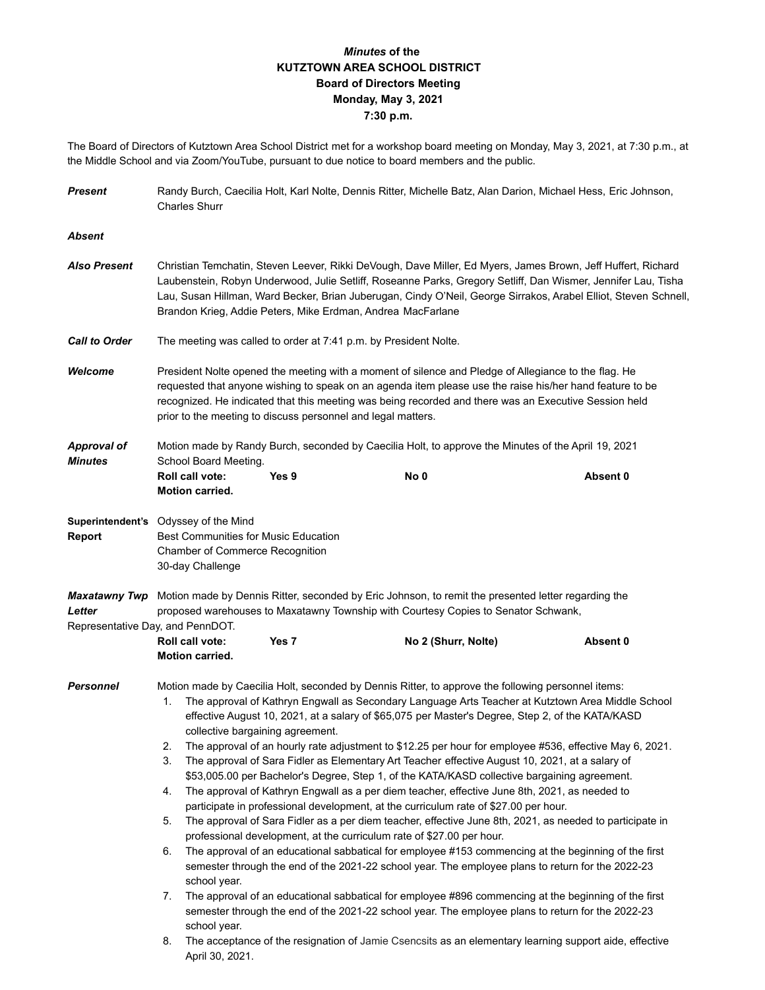## *Minutes* **of the KUTZTOWN AREA SCHOOL DISTRICT Board of Directors Meeting Monday, May 3, 2021 7:30 p.m.**

The Board of Directors of Kutztown Area School District met for a workshop board meeting on Monday, May 3, 2021, at 7:30 p.m., at the Middle School and via Zoom/YouTube, pursuant to due notice to board members and the public.

| <b>Present</b>                       | Randy Burch, Caecilia Holt, Karl Nolte, Dennis Ritter, Michelle Batz, Alan Darion, Michael Hess, Eric Johnson,<br><b>Charles Shurr</b>                                                                                                                                                                                                                                                                          |                  |                                                                                                                                                                                                           |          |  |  |  |  |
|--------------------------------------|-----------------------------------------------------------------------------------------------------------------------------------------------------------------------------------------------------------------------------------------------------------------------------------------------------------------------------------------------------------------------------------------------------------------|------------------|-----------------------------------------------------------------------------------------------------------------------------------------------------------------------------------------------------------|----------|--|--|--|--|
| <b>Absent</b>                        |                                                                                                                                                                                                                                                                                                                                                                                                                 |                  |                                                                                                                                                                                                           |          |  |  |  |  |
| <b>Also Present</b>                  | Christian Temchatin, Steven Leever, Rikki DeVough, Dave Miller, Ed Myers, James Brown, Jeff Huffert, Richard<br>Laubenstein, Robyn Underwood, Julie Setliff, Roseanne Parks, Gregory Setliff, Dan Wismer, Jennifer Lau, Tisha<br>Lau, Susan Hillman, Ward Becker, Brian Juberugan, Cindy O'Neil, George Sirrakos, Arabel Elliot, Steven Schnell,<br>Brandon Krieg, Addie Peters, Mike Erdman, Andrea MacFarlane |                  |                                                                                                                                                                                                           |          |  |  |  |  |
| <b>Call to Order</b>                 | The meeting was called to order at 7:41 p.m. by President Nolte.                                                                                                                                                                                                                                                                                                                                                |                  |                                                                                                                                                                                                           |          |  |  |  |  |
| Welcome                              | President Nolte opened the meeting with a moment of silence and Pledge of Allegiance to the flag. He<br>requested that anyone wishing to speak on an agenda item please use the raise his/her hand feature to be<br>recognized. He indicated that this meeting was being recorded and there was an Executive Session held<br>prior to the meeting to discuss personnel and legal matters.                       |                  |                                                                                                                                                                                                           |          |  |  |  |  |
| <b>Approval of</b><br><b>Minutes</b> | Motion made by Randy Burch, seconded by Caecilia Holt, to approve the Minutes of the April 19, 2021<br>School Board Meeting.                                                                                                                                                                                                                                                                                    |                  |                                                                                                                                                                                                           |          |  |  |  |  |
|                                      | Roll call vote:<br>Motion carried.                                                                                                                                                                                                                                                                                                                                                                              | Yes 9            | No <sub>0</sub>                                                                                                                                                                                           | Absent 0 |  |  |  |  |
| <b>Report</b>                        | Superintendent's Odyssey of the Mind<br><b>Best Communities for Music Education</b><br>Chamber of Commerce Recognition<br>30-day Challenge                                                                                                                                                                                                                                                                      |                  |                                                                                                                                                                                                           |          |  |  |  |  |
| <b>Maxatawny Twp</b><br>Letter       | Motion made by Dennis Ritter, seconded by Eric Johnson, to remit the presented letter regarding the<br>proposed warehouses to Maxatawny Township with Courtesy Copies to Senator Schwank,                                                                                                                                                                                                                       |                  |                                                                                                                                                                                                           |          |  |  |  |  |
| Representative Day, and PennDOT.     | Roll call vote:<br><b>Motion carried.</b>                                                                                                                                                                                                                                                                                                                                                                       | Yes <sub>7</sub> | No 2 (Shurr, Nolte)                                                                                                                                                                                       | Absent 0 |  |  |  |  |
| <b>Personnel</b>                     | Motion made by Caecilia Holt, seconded by Dennis Ritter, to approve the following personnel items:<br>The approval of Kathryn Engwall as Secondary Language Arts Teacher at Kutztown Area Middle School<br>1.<br>effective August 10, 2021, at a salary of \$65,075 per Master's Degree, Step 2, of the KATA/KASD<br>collective bargaining agreement.                                                           |                  |                                                                                                                                                                                                           |          |  |  |  |  |
|                                      | The approval of an hourly rate adjustment to \$12.25 per hour for employee #536, effective May 6, 2021.<br>2.<br>3.<br>The approval of Sara Fidler as Elementary Art Teacher effective August 10, 2021, at a salary of<br>\$53,005.00 per Bachelor's Degree, Step 1, of the KATA/KASD collective bargaining agreement.                                                                                          |                  |                                                                                                                                                                                                           |          |  |  |  |  |
|                                      | The approval of Kathryn Engwall as a per diem teacher, effective June 8th, 2021, as needed to<br>4.<br>participate in professional development, at the curriculum rate of \$27.00 per hour.                                                                                                                                                                                                                     |                  |                                                                                                                                                                                                           |          |  |  |  |  |
|                                      | The approval of Sara Fidler as a per diem teacher, effective June 8th, 2021, as needed to participate in<br>5.<br>professional development, at the curriculum rate of \$27.00 per hour.                                                                                                                                                                                                                         |                  |                                                                                                                                                                                                           |          |  |  |  |  |
|                                      | The approval of an educational sabbatical for employee #153 commencing at the beginning of the first<br>6.<br>semester through the end of the 2021-22 school year. The employee plans to return for the 2022-23<br>school year.                                                                                                                                                                                 |                  |                                                                                                                                                                                                           |          |  |  |  |  |
|                                      | 7.<br>school year.                                                                                                                                                                                                                                                                                                                                                                                              |                  | The approval of an educational sabbatical for employee #896 commencing at the beginning of the first<br>semester through the end of the 2021-22 school year. The employee plans to return for the 2022-23 |          |  |  |  |  |
|                                      | 8.<br>April 30, 2021.                                                                                                                                                                                                                                                                                                                                                                                           |                  | The acceptance of the resignation of Jamie Csencsits as an elementary learning support aide, effective                                                                                                    |          |  |  |  |  |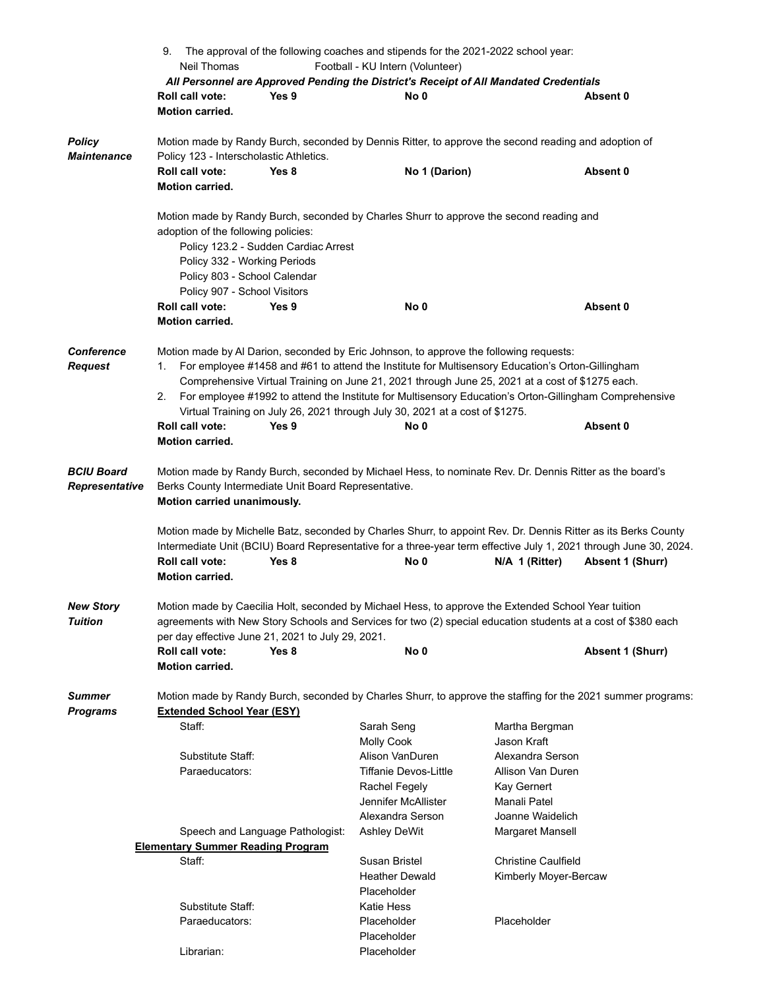|                                     | 9. The approval of the following coaches and stipends for the 2021-2022 school year:                                                                                                                                                                                                                                                                                                                                                                                                                                                                      |                              |                            |                         |  |  |  |  |
|-------------------------------------|-----------------------------------------------------------------------------------------------------------------------------------------------------------------------------------------------------------------------------------------------------------------------------------------------------------------------------------------------------------------------------------------------------------------------------------------------------------------------------------------------------------------------------------------------------------|------------------------------|----------------------------|-------------------------|--|--|--|--|
|                                     | Neil Thomas<br>Football - KU Intern (Volunteer)                                                                                                                                                                                                                                                                                                                                                                                                                                                                                                           |                              |                            |                         |  |  |  |  |
|                                     | All Personnel are Approved Pending the District's Receipt of All Mandated Credentials                                                                                                                                                                                                                                                                                                                                                                                                                                                                     |                              |                            |                         |  |  |  |  |
|                                     | Roll call vote:<br>Yes 9                                                                                                                                                                                                                                                                                                                                                                                                                                                                                                                                  | No 0                         |                            | Absent 0                |  |  |  |  |
|                                     | Motion carried.                                                                                                                                                                                                                                                                                                                                                                                                                                                                                                                                           |                              |                            |                         |  |  |  |  |
| <b>Policy</b><br><b>Maintenance</b> | Motion made by Randy Burch, seconded by Dennis Ritter, to approve the second reading and adoption of<br>Policy 123 - Interscholastic Athletics.                                                                                                                                                                                                                                                                                                                                                                                                           |                              |                            |                         |  |  |  |  |
|                                     | Roll call vote:<br>Yes 8                                                                                                                                                                                                                                                                                                                                                                                                                                                                                                                                  | No 1 (Darion)                |                            | Absent 0                |  |  |  |  |
|                                     | Motion carried.                                                                                                                                                                                                                                                                                                                                                                                                                                                                                                                                           |                              |                            |                         |  |  |  |  |
|                                     | Motion made by Randy Burch, seconded by Charles Shurr to approve the second reading and<br>adoption of the following policies:<br>Policy 123.2 - Sudden Cardiac Arrest<br>Policy 332 - Working Periods<br>Policy 803 - School Calendar<br>Policy 907 - School Visitors                                                                                                                                                                                                                                                                                    |                              |                            |                         |  |  |  |  |
|                                     | Roll call vote:<br>Yes 9                                                                                                                                                                                                                                                                                                                                                                                                                                                                                                                                  | No 0                         |                            | Absent 0                |  |  |  |  |
|                                     | Motion carried.                                                                                                                                                                                                                                                                                                                                                                                                                                                                                                                                           |                              |                            |                         |  |  |  |  |
| <b>Conference</b><br><b>Request</b> | Motion made by AI Darion, seconded by Eric Johnson, to approve the following requests:<br>For employee #1458 and #61 to attend the Institute for Multisensory Education's Orton-Gillingham<br>1.<br>Comprehensive Virtual Training on June 21, 2021 through June 25, 2021 at a cost of \$1275 each.<br>For employee #1992 to attend the Institute for Multisensory Education's Orton-Gillingham Comprehensive<br>2.<br>Virtual Training on July 26, 2021 through July 30, 2021 at a cost of \$1275.<br>Roll call vote:<br>Yes 9<br><b>Motion carried.</b> | No 0                         |                            | Absent 0                |  |  |  |  |
| <b>BCIU Board</b><br>Representative | Motion made by Randy Burch, seconded by Michael Hess, to nominate Rev. Dr. Dennis Ritter as the board's<br>Berks County Intermediate Unit Board Representative.<br>Motion carried unanimously.<br>Motion made by Michelle Batz, seconded by Charles Shurr, to appoint Rev. Dr. Dennis Ritter as its Berks County                                                                                                                                                                                                                                          |                              |                            |                         |  |  |  |  |
|                                     | Intermediate Unit (BCIU) Board Representative for a three-year term effective July 1, 2021 through June 30, 2024.                                                                                                                                                                                                                                                                                                                                                                                                                                         |                              |                            |                         |  |  |  |  |
|                                     | Roll call vote:<br>Yes 8                                                                                                                                                                                                                                                                                                                                                                                                                                                                                                                                  | No 0                         | N/A 1 (Ritter)             | <b>Absent 1 (Shurr)</b> |  |  |  |  |
|                                     | Motion carried.                                                                                                                                                                                                                                                                                                                                                                                                                                                                                                                                           |                              |                            |                         |  |  |  |  |
| <b>New Story</b><br><b>Tuition</b>  | Motion made by Caecilia Holt, seconded by Michael Hess, to approve the Extended School Year tuition<br>agreements with New Story Schools and Services for two (2) special education students at a cost of \$380 each<br>per day effective June 21, 2021 to July 29, 2021.                                                                                                                                                                                                                                                                                 |                              |                            |                         |  |  |  |  |
|                                     | <b>Roll call vote:</b><br>Yes 8                                                                                                                                                                                                                                                                                                                                                                                                                                                                                                                           | No <sub>0</sub>              |                            | Absent 1 (Shurr)        |  |  |  |  |
|                                     | <b>Motion carried.</b>                                                                                                                                                                                                                                                                                                                                                                                                                                                                                                                                    |                              |                            |                         |  |  |  |  |
| Summer<br><b>Programs</b>           | Motion made by Randy Burch, seconded by Charles Shurr, to approve the staffing for the 2021 summer programs:<br><b>Extended School Year (ESY)</b>                                                                                                                                                                                                                                                                                                                                                                                                         |                              |                            |                         |  |  |  |  |
|                                     | Staff:                                                                                                                                                                                                                                                                                                                                                                                                                                                                                                                                                    | Sarah Seng                   | Martha Bergman             |                         |  |  |  |  |
|                                     |                                                                                                                                                                                                                                                                                                                                                                                                                                                                                                                                                           | Molly Cook                   | Jason Kraft                |                         |  |  |  |  |
|                                     | Substitute Staff:                                                                                                                                                                                                                                                                                                                                                                                                                                                                                                                                         | Alison VanDuren              | Alexandra Serson           |                         |  |  |  |  |
|                                     | Paraeducators:                                                                                                                                                                                                                                                                                                                                                                                                                                                                                                                                            | <b>Tiffanie Devos-Little</b> | Allison Van Duren          |                         |  |  |  |  |
|                                     |                                                                                                                                                                                                                                                                                                                                                                                                                                                                                                                                                           | Rachel Fegely                | Kay Gernert                |                         |  |  |  |  |
|                                     |                                                                                                                                                                                                                                                                                                                                                                                                                                                                                                                                                           | Jennifer McAllister          | Manali Patel               |                         |  |  |  |  |
|                                     |                                                                                                                                                                                                                                                                                                                                                                                                                                                                                                                                                           | Alexandra Serson             | Joanne Waidelich           |                         |  |  |  |  |
|                                     | Speech and Language Pathologist:                                                                                                                                                                                                                                                                                                                                                                                                                                                                                                                          | <b>Ashley DeWit</b>          | Margaret Mansell           |                         |  |  |  |  |
|                                     | <b>Elementary Summer Reading Program</b>                                                                                                                                                                                                                                                                                                                                                                                                                                                                                                                  |                              |                            |                         |  |  |  |  |
|                                     | Staff:                                                                                                                                                                                                                                                                                                                                                                                                                                                                                                                                                    | Susan Bristel                | <b>Christine Caulfield</b> |                         |  |  |  |  |
|                                     |                                                                                                                                                                                                                                                                                                                                                                                                                                                                                                                                                           | <b>Heather Dewald</b>        | Kimberly Moyer-Bercaw      |                         |  |  |  |  |
|                                     |                                                                                                                                                                                                                                                                                                                                                                                                                                                                                                                                                           | Placeholder                  |                            |                         |  |  |  |  |
|                                     | Substitute Staff:                                                                                                                                                                                                                                                                                                                                                                                                                                                                                                                                         | <b>Katie Hess</b>            |                            |                         |  |  |  |  |
|                                     | Paraeducators:                                                                                                                                                                                                                                                                                                                                                                                                                                                                                                                                            | Placeholder                  | Placeholder                |                         |  |  |  |  |
|                                     |                                                                                                                                                                                                                                                                                                                                                                                                                                                                                                                                                           | Placeholder                  |                            |                         |  |  |  |  |
|                                     | Librarian:                                                                                                                                                                                                                                                                                                                                                                                                                                                                                                                                                | Placeholder                  |                            |                         |  |  |  |  |